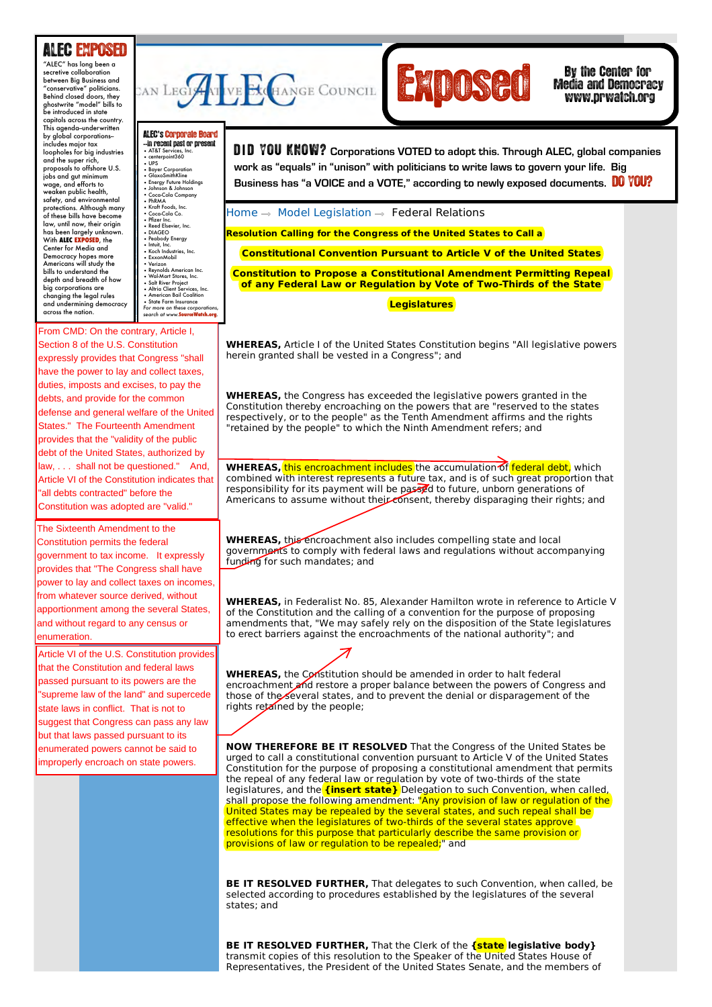## ALEC EXPOSED

weaken public health, **Combine See Section ALEC EXPOSED**, the **COMBING SET ALCORAGING SECTION**  $\cdot$  P. **dy** the **Experience of the Conomic Service** Property **Depth and breadth of how** changing the legal rules<br>and undermining democracy<br>across the nation. **Exercise to ANSING** "ALEC" has long been a secretive collaboration between Big Business and "conservative" politicians. Behind closed doors, they ghostwrite "model" bills to be introduced in state capitols across the country. This agenda--underwritten by global corporations-- includes major tax loopholes for big industries and the super rich, proposals to offshore U.S. jobs and gut minimum wage, and efforts to safety, and environmental protections. Although many of these bills have become law, until now, their origin Center for Media and Democracy hopes more Americans will study the bills to understand the . .<br>ig corporations are

**AN** ALEC**'**s'Corporate Board **--in recent past or present**<br>• AT&T Services, Inc.<br>• centerpoint360 • UPS • Bayer Corporation • GlaxoSmithKline • Energy Future Holdings • Johnson & Johnson • Coca-Cola Company • PhRMA • Kraft Foods, Inc. • Kran rooas, in<br>• Coca-Cola Co.<br>• Pfizer Inc.  $\begin{array}{ccc} \cdot & \cdot & \cdot & \cdot \\ \cdot & \cdot & \cdot & \cdot \\ \cdot & \cdot & \cdot & \cdot \\ \cdot & \cdot & \cdot & \cdot \end{array}$ • Phrzer Inc.<br>• Red Elsevier, Inc.<br>• Redoldy Emergy<br>• Pedolody Emergy<br>• Koch Industries, Inc.<br>• Koch Industries, Inc.<br>• Verizon American Inc.<br>• Wol-Mart Stores, Inc.<br>• Mul-Mart Stores, Inc.<br>• Altric Client Services, Inc.<br>• **COMMERCE, INSURANCE, INC.** 

From CMD: On the contrary, Article I, Section 8 of the U.S. Constitution have the power to lay and collect taxes, duties, imposts and excises, to pay the debts, and provide for the common **States." The Fourteenth Amendment** provides that the "validity of the public **Tax and Fiscal Policy** debt of the United States, authorized by **Article VI of the Constitution indicates that b a and Information** "all debts contracted" before the expressly provides that Congress "shall defense and general welfare of the United law, . . . shall not be questioned." And, Constitution was adopted are "valid."

The Sixteenth Amendment to the Constitution permits the federal Provides that "The Congress shall have government to tax income. It expressly power to lay and collect taxes on incomes. from whatever source derived, without apportionment among the several States, and without regard to any census or enumeration.

Article VI of the U.S. Constitution provides that the Constitution and federal laws passed pursuant to its powers are the "supreme law of the land" and supercede state laws in conflict. That is not to suggest that Congress can pass any law but that laws passed pursuant to its enumerated powers cannot be said to improperly encroach on state powers.





Media and Democracy www.prwatch.org

<sub>ore U.S.  $\left\{ \begin{array}{l} \text{where} \ \text{current} \ \text{current} \ \text{current} \ \text{current} \ \text{current} \ \text{current} \ \text{current} \ \text{current} \ \text{current} \ \text{current} \ \text{current} \ \text{current} \ \text{norm} \ \text{current} \ \text{norm} \ \text{error} \ \text{error} \ \text{error} \ \text{error} \ \text{error} \ \text{error} \ \text{error} \ \text{error} \ \text{error} \ \text{error} \ \text{error} \ \text{error} \ \text{error} \ \text{error} \ \text{error} \ \text{error} \ \text{error} \ \text$ Inimoum<br>orts to **the second of the Holdings Business has "a VOICE and a VOTE," according to newly exposed documents. DO YOU? DID YOU KNOW?** Corporations VOTED to adopt this. Through ALEC, global companies

Home  $\Rightarrow$  Model Legislation  $\Rightarrow$  Federal Relations

**Resolution Calling for the Congress of the United States to Call a**

**Constitutional Convention Pursuant to Article V of the United States**

**Constitution to Propose a Constitutional Amendment Permitting Repeal of any Federal Law or Regulation by Vote of Two-Thirds of the State**

**Legislatures**

**WHEREAS,** Article I of the United States Constitution begins "All legislative powers herein granted shall be vested in a Congress"; and

**WHEREAS,** the Congress has exceeded the legislative powers granted in the Constitution thereby encroaching on the powers that are "reserved to the states respectively, or to the people" as the Tenth Amendment affirms and the rights "retained by the people" to which the Ninth Amendment refers; and

**WHEREAS, this encroachment includes** the accumulation of **federal debt**, which combined with interest represents a future tax, and is of such great proportion that responsibility for its payment will be passed to future, unborn generations of Americans to assume without their consent, thereby disparaging their rights; and

WHEREAS, this encroachment also includes compelling state and local governments to comply with federal laws and regulations without accompanying funding for such mandates; and

**WHEREAS,** in Federalist No. 85, Alexander Hamilton wrote in reference to Article V of the Constitution and the calling of a convention for the purpose of proposing amendments that, "We may safely rely on the disposition of the State legislatures to erect barriers against the encroachments of the national authority"; and

**WHEREAS,** the Constitution should be amended in order to halt federal encroachment and restore a proper balance between the powers of Congress and those of the several states, and to prevent the denial or disparagement of the rights retained by the people;

**NOW THEREFORE BE IT RESOLVED** That the Congress of the United States be urged to call a constitutional convention pursuant to Article V of the United States Constitution for the purpose of proposing a constitutional amendment that permits the repeal of any federal law or regulation by vote of two-thirds of the state legislatures, and the **{insert state}** Delegation to such Convention, when called, shall propose the following amendment: "Any provision of law or regulation of the United States may be repealed by the several states, and such repeal shall be effective when the legislatures of two-thirds of the several states approve resolutions for this purpose that particularly describe the same provision or provisions of law or regulation to be repealed:" and

**BE IT RESOLVED FURTHER,** That delegates to such Convention, when called, be selected according to procedures established by the legislatures of the several states; and

**BE IT RESOLVED FURTHER,** That the Clerk of the **{state legislative body}** transmit copies of this resolution to the Speaker of the United States House of Representatives, the President of the United States Senate, and the members of